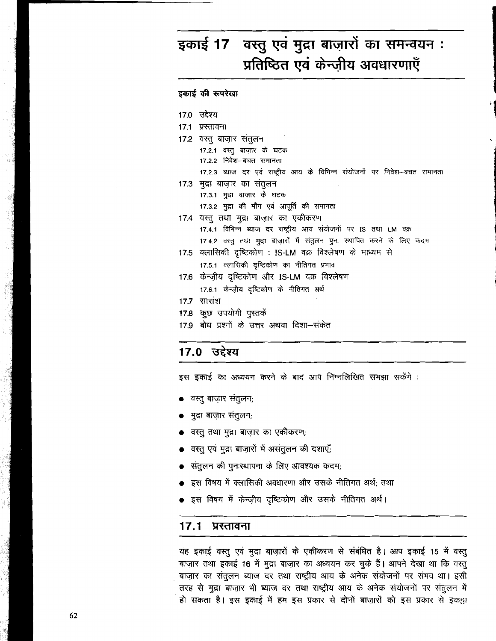### वस्तु एवं मुद्रा बाज़ारों का समन्वयन: इकाई 17 प्रतिष्ठित एवं केन्जीय अवधारणाएँ

इकाई की रूपरेखा 17.0 उद्देश्य 17.1 प्रस्तावना 17.2 वस्तू बाजार संतुलन 17.2.1 वस्तू बाजार के घटक 17.2.2 निवेश-बचत समानता 17.2.3 ब्याज दर एवं राष्ट्रीय आय के विभिन्न संयोजनों पर निवेश-बचत समानता 17.3 मुद्रा बाजार का संतुलन 17.3.1 मुद्रा बाज़ार के घटक 17.3.2 मुद्रा की माँग एवं आपूर्ति की समानता 17.4 वस्तू तथा मुद्रा बाजार का एकीकरण 17.4.1 विभिन्न ब्याज दर राष्ट्रीय आय संयोजनों पर IS तथा LM वक्र 17.4.2 वस्तु तथा मुद्रा बाज़ारों में संतुलन पुनः स्थापित करने के लिए कदम 17.5 क्लासिकी दृष्टिकोण : IS-LM वक्र विश्लेषण के माध्यम से 17.5.1 क्लासिकी दृष्टिकोण का नीतिगत प्रभाव 17.6 केन्ज़ीय दृष्टिकोण और IS-LM वक्र विश्लेषण 17.6.1 केन्ज़ीय दृष्टिकोण के नीतिगत अर्थ 17.7 सारांश 17.8 कुछ उपयोगी पुस्तकें 17.9 बोध प्रश्नों के उत्तर अथवा दिशा-संकेत

### 17.0 उद्देश्य

● वस्तु बाजार संतुलन;

मुद्रा बाजार संतुलन,

वस्तु तथा मुद्रा बाजार का एकीकरण; वस्तु एवं मुद्रा बाजारों में असंतुलन की दशाएँ;

- 
- संतुलन की पुनःस्थापना के लिए आवश्यक कदम;
- इस विषय में क्लासिकी अवधारणा और उसके नीतिगत अर्थ; तथा

इस इकाई का अध्ययन करने के बाद आप निम्नलिखित समझा सकेंगे :

इस विषय में केन्ज़ीय दृष्टिकोण और उसके नीतिगत अर्थ।

#### $17.1$ प्रस्तावना

यह इकाई वस्तु एवं मुद्रा बाज़ारों के एकीकरण से संबंधित है। आप इकाई 15 में वस्तु बाज़ार तथा इकाई 16 में मुद्रा बाज़ार का अध्ययन कर चुके हैं। आपने देखा था कि वस्तु बाज़ार का संतुलन ब्याज दर तथा राष्ट्रीय आय के अनेक संयोजनों पर संभव था। इसी तरह से मुद्रा बाजार भी ब्याज दर तथा राष्ट्रीय आय के अनेक संयोजनों पर संतुलन में हो सकता है। इस इकाई में हम इस प्रकार से दोनों बाज़ारों को इस प्रकार से इकट्ठा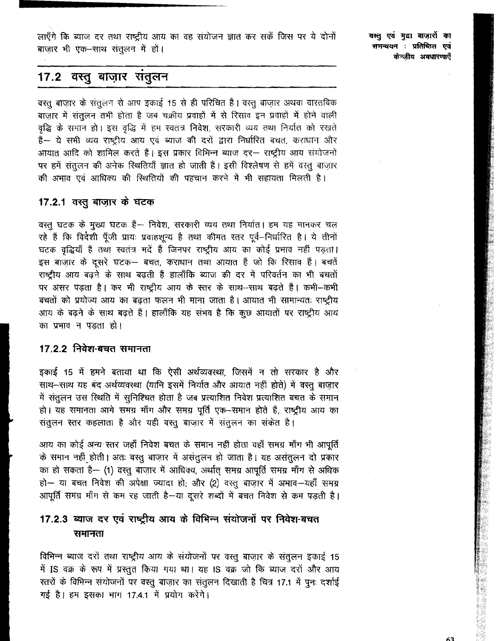लाएँगे कि ब्याज दर तथा राष्ट्रीय आय का वह संयोजन ज्ञात कर सकें जिस पर ये दोनों बाज़ार भी एक-साथ संतुलन में हों।

वस्तु एवं मुद्रा बाजारों का समन्वयन : प्रतिष्ठित एवं केन्जीय अवधारणाएँ

### 17.2 वस्तु बाज़ार सतुलन

वस्तु बाज़ार के संतुलन से आप इकाई 15 से ही परिचित हैं। वस्तु बाज़ार अथवा वास्तविक बाज़ार में संतुलन तभी होता है जब चक्रीय प्रवाहों में से रिसाव इन प्रवाहों में होने वाली वृद्धि के समान हो। इस वृद्धि में हम स्वतंत्र निवेश, सरकारी व्यय तथा निर्यात को रखते हैं-- ये सभी व्यय राष्ट्रीय आय एवं ब्याज की दरों द्वारा निर्धारित बचत, कराधान और आयात आदि को शामिल करते हैं। इस प्रकार विभिन्न ब्याज दर- राष्ट्रीय आय संयोजनों पर हमें संतुलन की अनेक रिथतियाँ ज्ञात हो जाती हैं। इसी विश्लेषण से हमें वस्तु बाज़ार की अभाव एवं आधिक्य की स्थितियों की पहचान करने में भी सहायता मिलती है।

#### 17.2.1 तस्तू बाज़ार के घटक

वस्तु घटक के मुख्य घटक हैं- निवेश, सरकारी व्यय तथा निर्यात। हम यह मानकर चल रहे हैं कि विदेशी पूँजी प्रायः प्रवाहशून्य है तथा कीमत स्तर पूर्व-निर्धारित है। ये तीनों घटक वृद्धियाँ हैं तथा स्वतंत्र मदें हैं जिनपर राष्ट्रीय आय का कोई प्रभाव नहीं पड़ता। इस बाज़ार के दूसरे घटक- बचत, कराधान तथा आयात हैं जो कि रिसाव हैं। बचतें राष्ट्रीय आय बढ़ने के साथ बढ़ती हैं हालाँकि ब्याज की दर में परिवर्तन का भी बचतों पर असर पड़ता है। कर भी राष्ट्रीय आय के स्तर के साथ-साथ बढ़ते हैं। कभी-कभी बचतों को प्रयोज्य आय का बढ़ता फलन भी माना जाता है। आयात भी सामान्यतः राष्ट्रीय आय के बढ़ने के साथ बढ़ते हैं। हालाँकि यह संभव है कि कुछ आयातों पर राष्ट्रीय आय का प्रभाव न पडता हो।

#### 17.2.2 निवेश-बचत समानता

इकाई 15 में हमने बताया था कि ऐसी अर्थव्यवस्था, जिसमें न तो सरकार है और साथ-साथ यह बंद अर्थव्यवस्था (यानि इसमें निर्यात और आयात नहीं होते) में वस्तु बाज़ार में संतुलन उस स्थिति में सुनिश्चित होता है जब प्रत्याशित निवेश प्रत्याशित बचत के समान हो। यह समानता आगे समग्र माँग और समग्र पूर्ति एक-समान होते हैं, राष्ट्रीय आय का संतुलन स्तर कहलाता है और यही वस्तु बाज़ार में संतुलन का संकेत है।

आय का कोई अन्य स्तर जहाँ निवेश बचत के समान नहीं होता वहाँ समग्र माँग भी आपूर्ति के समान नहीं होती। अतः वस्तु बाज़ार में असंतुलन हो जाता है। यह असंतुलन दो प्रकार का हो सकता है— (1) वस्तु बाज़ार में आधिक्य, अर्थात् समग्र आपूर्ति समग्र माँग से अधिक हो- या बचत निवेश की अपेक्षा ज्यादा हो; और (2) वस्तू बाजार में अभाव-यहाँ समग्र आपूर्ति समग्र माँग से कम रह जाती है-या दूसरे शब्दों में बचत निवेश से कम पड़ती है।

### 17.2.3 ब्याज दर एवं राष्ट्रीय आय के विभिन्न संयोजनों पर निवेश-बचत समानता

विभिन्न ब्याज दरों तथा राष्ट्रीय आय के संयोजनों पर वस्तू बाजार के संतुलन इकाई 15 में IS वक्र के रूप में प्रस्तुत किया गया था। यह IS वक्र जो कि ब्याज दरों और आय स्तरों के विभिन्न संयोजनों पर वस्तू बाज़ार का संतूलन दिखाती है चित्र 17.1 में पूनः दर्शाई गई है। हम इसका भाग 17.4.1 में प्रयोग करेंगे।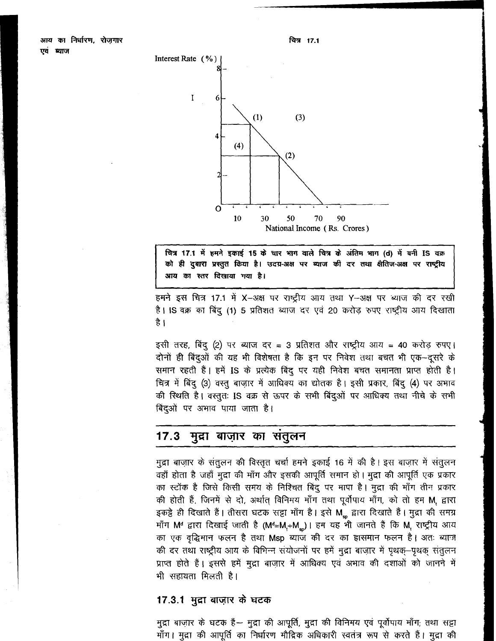

चित्र 17.1 में हमने इकाई 15 के चार भाग वाले चित्र के अंतिम भाग (d) में बनी IS वक्र को ही दुबारा प्रस्तुत किया है। उदग्र-अक्ष पर ब्याज की दर तथा क्षैतिज-अक्ष पर राष्ट्रीय आय का स्तर दिखाया गया है।

हमने इस चित्र 17.1 में X-अक्ष पर राष्ट्रीय आय तथा Y-अक्ष पर ब्याज की दर रखी है। IS वक्र का बिंदू (1) 5 प्रतिशत ब्याज दर एवं 20 करोड़ रुपए राष्ट्रीय आय दिखाता है ।

इसी तरह, बिंदु (2) पर ब्याज दर = 3 प्रतिशत और राष्ट्रीय आय = 40 करोड़ रुपए। दोनों ही बिंदुओं की यह भी विशेषता है कि इन पर निवेश तथा बचत भी एक-दूसरे के समान रहती हैं। हमें IS के प्रत्येक बिंदु पर यही निवेश बचत समानता प्राप्त होती है। चित्र में बिंदु (3) वस्तु बाज़ार में आधिक्य का द्योतक है। इसी प्रकार, बिंदु (4) पर अभाव की स्थिति है। वस्तुतः IS वक्र से ऊपर के सभी बिंदुओं पर आधिक्य तथा नीचे के सभी बिंदुओं पर अभाव पाया जाता है।

#### $17.3$ मुद्रा बाज़ार का सतुलन

मुद्रा बाजार के संतुलन की विस्तृत चर्चा हमने इकाई 16 में की है। इस बाजार में संतुलन वहाँ होता है जहाँ मुद्रा की माँग और इसकी आपूर्ति समान हो। मुद्रा की आपूर्ति एक प्रकार का स्टॉक है जिसे किसी समय के निश्चित बिंदु पर मापा है। मुद्रा की माँग तीन प्रकार की होती हैं, जिनमें से दो, अर्थात् विनिमय माँग तथा पूर्वोपाय माँग, को तो हम M, द्वारा इकड़े ही दिखाते हैं। तीसरा घटक सट्टा माँग है। इसे M ह्वारा दिखाते हैं। मुद्रा की समग्र माँग M<sup>d</sup> द्वारा दिखाई जाती है (M<sup>d</sup>=M,+M )। हम यह भी जानते हैं कि M, राष्ट्रीय आय का एक वृद्धिमान फलन है तथा Msp ब्याज की दर का हासमान फलन है। अतः ब्याज की दर तथा राष्ट्रीय आय के विभिन्न संयोजनों पर हमें मुद्रा बाज़ार में पृथक्-पृथक् संतुलन प्राप्त होते हैं। इससे हमें मुद्रा बाज़ार में आधिक्य एवं अभाव की दशाओं को जानने में भी सहायता मिलती है।

#### 17.3.1 मुद्रा बाज़ार के घटक

मुद्रा बाज़ार के घटक है— मुद्रा की आपूर्ति, मुद्रा की विनिमय एवं पूर्वोपाय माँग; तथा सड्टा माँग। मुद्रा की आपूर्ति का निर्धारण मौद्रिक अधिकारी स्वतंत्र रूप से करते हैं। मुद्रा की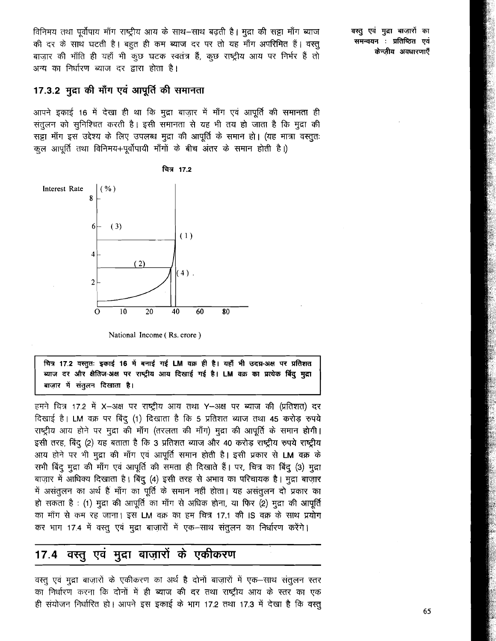विनिमय तथा पर्वोपाय माँग राष्ट्रीय आय के साथ–साथ बढती है। मुद्रा की सट्टा माँग ब्याज की दर के साथ घटती है। बहुत ही कम ब्याज दर पर तो यह माँग अपरिमित हैं। वस्तू बाजार की भाँति ही यहाँ भी कुछ घटक स्वतंत्र हैं, कुछ राष्ट्रीय आय पर निर्भर हैं तो अन्य का निर्धारण ब्याज दर द्वारा होता है।

#### 17.3.2 मुद्रा की माँग एवं आपूर्ति की समानता

आपने इकाई 16 में देखा ही था कि मुद्रा बाजार में माँग एवं आपूर्ति की समानता ही संतुलन को सुनिश्चित करती है। इसी समानता से यह भी तय हो जाता है कि मुद्रा की सट्टा माँग इस उद्देश्य के लिए उपलब्ध मुद्रा की आपूर्ति के समान हो। (यह मात्रा वस्तुतः कल आपर्ति तथा विनिमय+पूर्वोपायी माँगों के बीच अंतर के समान होती है।)



National Income (Rs. crore)

चित्र 17.2 वस्तुतः इकाई 16 में बनाई गई LM वक्र ही है। यहाँ भी उदग्र-अक्ष पर प्रतिशत ब्याज दर और क्षैतिज-अक्ष पर राष्ट्रीय आय दिखाई गई है। LM वक्र का प्रत्येक बिंदु मुद्रा बाज़ार में संतुलन दिखाता है।

हमने चित्र 17.2 में X-अक्ष पर राष्ट्रीय आय तथा Y-अक्ष पर ब्याज की (प्रतिशत) दर दिखाई है। LM वक्र पर बिंदु (1) दिखाता है कि 5 प्रतिशत ब्याज तथा 45 करोड़ रुपये राष्ट्रीय आय होने पर मुद्रा की माँग (तरलता की माँग) मुद्रा की आपूर्ति के समान होगी। इसी तरह, बिंदु (2) यह बताता है कि 3 प्रतिशत ब्याज और 40 करोड़ राष्ट्रीय रुपये राष्ट्रीय आय होने पर भी मुद्रा की माँग एवं आपूर्ति समान होती है। इसी प्रकार से LM वक्र के सभी बिंदु मुद्रा की माँग एवं आपूर्ति की समता ही दिखाते हैं। पर, चित्र का बिंदु (3) मुद्रा बाज़ार में आधिक्य दिखाता है। बिंदू (4) इसी तरह से अभाव का परिचायक है। मुद्रा बाज़ार में असंतुलन का अर्थ हैं माँग का पूर्ति के समान नहीं होता। यह असंतुलन दो प्रकार का हो सकता है : (1) मुद्रा की आपूर्ति का माँग से अधिक होना, या फिर (2) मुद्रा की आपूर्ति का माँग से कम रह जाना। इस LM वक्र का हम चित्र 17.1 की IS वक्र के साथ प्रयोग कर भाग 17.4 में वस्तू एवं मुद्रा बाज़ारों में एक-साथ संतुलन का निर्धारण करेंगे।

#### वस्तु एवं मुद्रा बाज़ारों के एकीकरण  $17.4$

वस्तू एवं मुद्रा बाज़ारों के एकीकरण का अर्थ है दोनों बाज़ारों में एक—साथ संतुलन स्तर का निर्धारण करना कि दोनों में ही ब्याज की दर तथा राष्ट्रीय आय के स्तर का एक ही संयोजन निर्धारित हो। आपने इस इकाई के भाग 17.2 तथा 17.3 में देखा है कि वस्तू वस्तु एवं मुद्रा बाज़ारों का समन्वयन : प्रतिष्ठित एवं केन्जीय अवधारणाएँ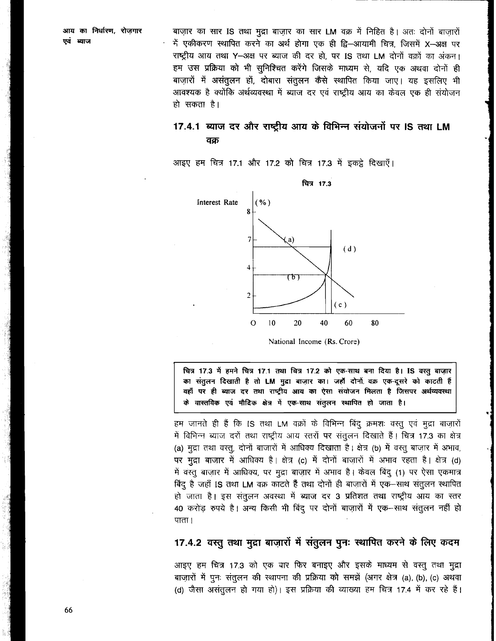आय का निर्धारण, रोजगार एवं ब्याज

बाज़ार का सार IS तथा मुद्रा बाज़ार का सार LM वक्र में निहित है। अतः दोनों बाजारों \* एकीकरण स्थापित करने का अर्थ होगा एक ही द्वि–आयामी चित्र, जिसमें X–अक्ष पर राष्ट्रीय आय तथा Y-अक्ष पर ब्याज की दर हो, पर IS तथा LM दोनों वक्रों का अंकन। हम उस प्रक्रिया को भी सुनिश्चित करेंगे जिसके माध्यम से, यदि एक अथवा दोनों ही बाज़ारों में असंतूलन हों, दोबारा संतूलन कैसे स्थापित किया जाए। यह इसलिए भी आवश्यक है क्योंकि अर्थव्यवस्था में ब्याज दर एवं राष्ट्रीय आय का केवल एक ही संयोजन हो सकता है।

#### 17.4.1 ब्याज दर और राष्टीय आय के विभिन्न संयोजनों पर IS तथा LM वक्र

आइए हम चित्र 17.1 और 17.2 को चित्र 17.3 में इकट्ठे दिखाएँ।



National Income (Rs. Crore)

चित्र 17.3 में हमने चित्र 17.1 तथा चित्र 17.2 को एक-साथ बना दिया है। IS वस्तु बाज़ार का संतुलन दिखाती है तो LM मुद्रा बाज़ार का। जहाँ दोनों वक्र एक-दूसरे को काटती हैं वहाँ पर ही ब्याज दर तथा राष्ट्रीय आय का ऐसा संयोजन मिलता है जिसपर अर्थव्यवस्था के वास्तविक एवं मौदिक क्षेत्र में एक-साथ संतुलन स्थापित हो जाता है।

हम जानते ही हैं कि IS तथा LM वक्रों के विभिन्न बिंदु क्रमशः वस्तु एवं मुद्रा बाज़ारों में विभिन्न ब्याज दरों तथा राष्ट्रीय आय स्तरों पर संतुलन दिखाते हैं। चित्र 17.3 का क्षेत्र (a) मुद्रा तथा वस्तू, दोनों बाजारों में आधिक्य दिखाता है। क्षेत्र (b) में वस्तू बाज़ार में अभाव, पर मुद्रा बाजार में आधिक्य है। क्षेत्र (c) में दोनों बाजारों में अभाव रहता है। क्षेत्र (d) में वस्तू बाज़ार में आधिक्य, पर मुद्रा बाज़ार में अभाव है। केवल बिंदू (1) पर ऐसा एकमात्र बिंदू है जहाँ IS तथा LM वक्र काटते हैं तथा दोनों ही बाज़ारों में एक-साथ संतुलन स्थापित हो जाता है। इस संतुलन अवस्था में ब्याज दर 3 प्रतिशत तथा राष्ट्रीय आय का स्तर 40 करोड़ रुपये है। अन्य किसी भी बिंदू पर दोनों बाज़ारों में एक-साथ संतूलन नहीं हो पाता।

#### 17.4.2 वस्तु तथा मुद्रा बाजारों में संतुलन पुनः स्थापित करने के लिए कदम

आइए हम चित्र 17.3 को एक बार फिर बनाइए और इसके माध्यम से वस्तु तथा मुद्रा बाज़ारों में पुनः संतुलन की स्थापना की प्रक्रिया को समझें (अगर क्षेत्र (a), (b), (c) अथवा (d) जैसा असंतुलन हो गया हो)। इस प्रक्रिया की व्याख्या हम चित्र 17.4 में कर रहे हैं।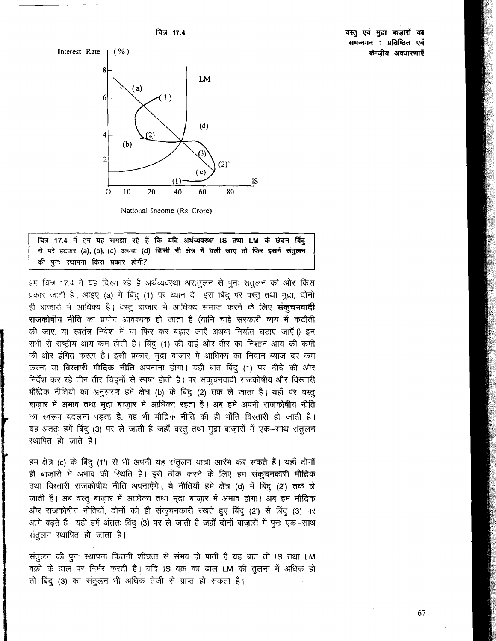वस्तु एवं मुद्रा बाजारों का समन्वयन : प्रतिष्ठित एवं केन्जीय अवधारणाएँ





National Income (Rs. Crore)

चित्र 17.4 में हम यह समझा रहे हैं कि यदि अर्थव्यवस्था IS तथा LM के छेदन बिंद् से परे हटकर (a), (b), (c) अथवा (d) किसी भी क्षेत्र में चली जाए तो फिर इसमें संतुलन की पुनः स्थापना किस प्रकार होगी?

हम चित्र 17.4 में यह दिखा रहे हैं अर्थव्यवस्था असंतुलन से पून: संतुलन की ओर किस प्रकार जाती है। आइए (a) में बिंदु (1) पर ध्यान दें। इस बिंदु पर वस्तु तथा मुद्रा, दोनों ही बाज़ारों में आधिक्य है। वस्तू बाज़ार में आधिक्य समाप्त करने के लिए संक्**चनवादी** राजकोषीय नीति का प्रयोग आवश्यक हो जाता है (यानि चाहे सरकारी व्यय में कटौती की जाए, या स्वतंत्र निवेश में या फिर कर बढाए जाएँ अथवा निर्यात घटाए जाएँ।) इन सभी से राष्ट्रीय आय कम होती है। बिंदु (1) की बाईं ओर तीर का निशान आय की कमी की ओर इंगित करता है। इसी प्रकार, मुद्रा बाज़ार में आधिक्य का निदान ब्याज दर कम करना या विस्तारी मौदिक नीति अपनाना होगा। यही बात बिंदु (1) पर नीचे की ओर निर्देश कर रहे तीन तीर चिहनों से स्पष्ट होती है। पर संकूचनवादी राजकोषीय और विस्तारी मौद्रिक नीतियों का अनुसरण हमें क्षेत्र (b) के बिंदु (2) तक ले जाता है। यहाँ पर वस्तु बाज़ार में अभाव तथा मुद्रा बाज़ार में आधिक्य रहता है। अब हमें अपनी राजकोषीय नीति का स्वरूप बदलना पड़ता है, वह भी मौद्रिक नीति की ही भाँति विस्तारी हो जाती है। यह अंततः हमें बिंदु (3) पर ले जाती है जहाँ वस्तु तथा मुद्रा बाज़ारों में एक-साथ संतुलन स्थापित हो जाते हैं।

हम क्षेत्र (c) के बिंदु (1') से भी अपनी यह संतुलन यात्रा आरंभ कर सकते हैं। यहाँ दोनों ही बाज़ारों में अभाव की स्थिति है। इसे ठीक करने के लिए हम संकूचनकारी मौद्रिक तथा विस्तारी राजकोषीय नीति अपनाएँगे। ये नीतियाँ हमें क्षेत्र (d) में बिंदु (2') तक ले जाती हैं। अब वस्तू बाज़ार में आधिक्य तथा मुद्रा बाज़ार में अभाव होगा। अब हम मौद्रिक और राजकोषीय नीतियों, दोनों को ही संकुचनकारी रखते हुए बिंदु (2') से बिंदु (3) पर आगे बढ़ते हैं। यहीं हमें अंततः बिंदु (3) पर ले जाती हैं जहाँ दोनों बाज़ारों में पुनः एक-साथ संतुलन स्थापित हो जाता है।

संतुलन की पुनः स्थापना कितनी शीघ्रता से संभव हो पाती है यह बात तो IS तथा LM वक्रों के ढाल पर निर्भर करती है। यदि IS वक्र का ढाल LM की तुलना में अधिक हो तो बिंदु (3) का संतुलन भी अधिक तेज़ी से प्राप्त हो सकता है।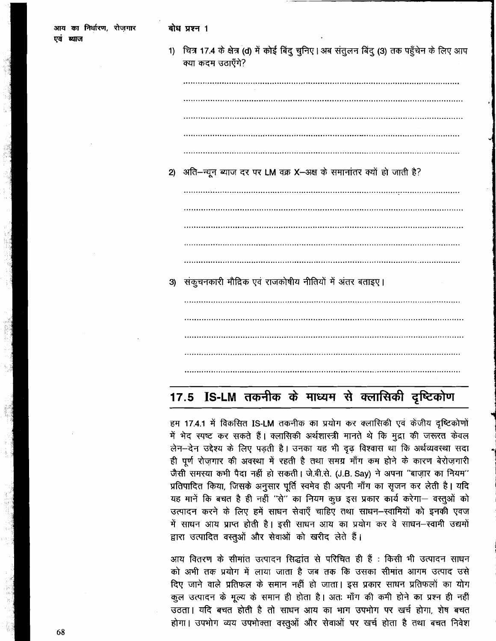| 1) | चित्र 17.4 के क्षेत्र (d) में कोई बिंदु चुनिए। अब संतुलन बिंदु (3) तक पहुँचेन के लिए आप<br>क्या कदम उठाएँगे? |
|----|--------------------------------------------------------------------------------------------------------------|
|    |                                                                                                              |
|    |                                                                                                              |
|    |                                                                                                              |
|    |                                                                                                              |
|    |                                                                                                              |
| 2) | अति-न्यून ब्याज दर पर LM वक्र X-अक्ष के समानांतर क्यों हो जाती है?                                           |
|    |                                                                                                              |
|    |                                                                                                              |
|    |                                                                                                              |
|    |                                                                                                              |
|    |                                                                                                              |
| 3) | संकुचनकारी मौद्रिक एवं राजकोषीय नीतियों में अंतर बताइए।                                                      |
|    |                                                                                                              |
|    |                                                                                                              |
|    |                                                                                                              |
|    |                                                                                                              |
|    |                                                                                                              |

# 17.5 IS-LM तकनीक के माध्यम से क्लासिकी दृष्टिकोण

हम 17.4.1 में विकसित IS-LM तकनीक का प्रयोग कर क्लासिकी एवं केंजीय दृष्टिकोणों में भेद स्पष्ट कर सकते हैं। क्लासिकी अर्थशास्त्री मानते थे कि मुद्रा की जरूरत केवल लेन-देन उद्देश्य के लिए पड़ती है। उनका यह भी दृढ़ विश्वास था कि अर्थव्यवस्था सदा ही पूर्ण रोज़गार की अवस्था में रहती है तथा समग्र माँग कम होने के कारण बेरोज़गारी जैसी समस्या कभी पैदा नहीं हो सकती। जे.बी.से. (J.B. Say) ने अपना "बाज़ार का नियम" प्रतिपादित किया, जिसके अनुसार पूर्ति स्वमेव ही अपनी माँग का सृजन कर लेती है। यदि यह मानें कि बचत है ही नहीं "से" का नियम कुछ इस प्रकार कार्य करेगा- वस्तुओं को उत्पादन करने के लिए हमें साधन सेवाएँ चाहिए तथा साधन–स्वामियों को इनकी एवज में साधन आय प्राप्त होती है। इसी साधन आय का प्रयोग कर वे साधन-स्वामी उद्यमों द्वारा उत्पादित वस्तुओं और सेवाओं को खरीद लेते हैं।

आय वितरण के सीमांत उत्पादन सिद्धांत से परिचित ही हैं : किसी भी उत्पादन साधन को अभी तक प्रयोग में लाया जाता है जब तक कि उसका सीमांत आगम उत्पाद उसे दिए जाने वाले प्रतिफल के समान नहीं हो जाता। इस प्रकार साधन प्रतिफलों का योग कुल उत्पादन के मूल्य के समान ही होता है। अतः माँग की कमी होने का प्रश्न ही नहीं उठता। यदि बचत होती है तो साधन आय का भाग उपभोग पर खर्च होगा, शेष बचत होगा। उपभोग व्यय उपभोक्ता वस्तुओं और सेवाओं पर खर्च होता है तथा बचत निवेश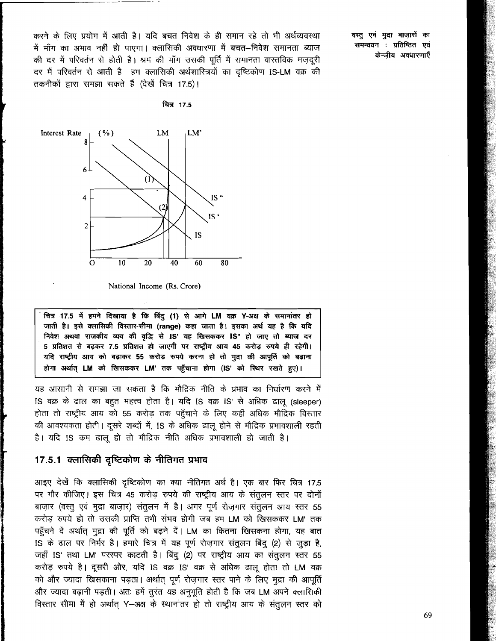करने के लिए प्रयोग में आती है। यदि बचत निवेश के ही समान रहे तो भी अर्थव्यवस्था में माँग का अभाव नहीं हो पाएगा। क्लासिकी अवधारणा में बचत–निवेश समानता ब्याज की दर में परिवर्तन से होती है। श्रम की माँग उसकी पूर्ति में समानता वास्तविक मज़दूरी दर में परिवर्तन से आती है। हम क्लासिकी अर्थशास्त्रियों का दृष्टिकोण IS-LM वक्र की तकनीकों द्वारा समझा सकते हैं (देखें चित्र 17.5)।

चित्र 17.5

वस्तु एवं मुद्रा बाज़ारों का समन्वयन : प्रतिष्ठित एवं केन्जीय अवधारणाएँ



National Income (Rs. Crore)

चित्र 17.5 में हमने दिखाया है कि बिंदु (1) से आगे LM वक्र Y-अक्ष के समानांतर हो जाती है। इसे क्लासिकी विस्तार-सीमा (range) कहा जाता है। इसका अर्थ यह है कि यदि निवेश अथवा राजकीय व्यय की वृद्धि से IS' यह खिसककर IS" हो जाए तो ब्याज दर 5 प्रतिशत से बढ़कर 7.5 प्रतिशत हो जाएगी पर राष्ट्रीय आय 45 करोड़ रुपये ही रहेगी। यदि राष्ट्रीय आय को बढ़ाकर 55 करोड़ रुपये करना हो तो मुद्रा की आपूर्ति को बढ़ाना होगा अर्थात LM को खिसककर LM' तक पहुँचाना होगा (IS' को स्थिर रखते हुए)।

यह आसानी से समझा जा सकता है कि मौद्रिक नीति के प्रभाव का निर्धारण करने में IS वक्र के ढाल का बहुत महत्त्व होता है। यदि IS वक्र IS' से अधिक ढालू (sleeper) होता तो राष्ट्रीय आय को 55 करोड़ तक पहुँचाने के लिए कहीं अधिक मौद्रिक विस्तार की आवश्यकता होती। दूसरे शब्दों में, IS के अधिक ढालू होने से मौद्रिक प्रभावशाली रहती है। यदि IS कम ढालू हो तो मौद्रिक नीति अधिक प्रभावशाली हो जाती है।

#### 17.5.1 क्लासिकी दृष्टिकोण के नीतिगत प्रभाव

आइए देखें कि क्लासिकी दृष्टिकोण का क्या नीतिगत अर्थ है। एक बार फिर चित्र 17.5 पर गौर कीजिए। इस चित्र 45 करोड़ रुपये की राष्ट्रीय आय के संतुलन स्तर पर दोनों बाज़ार (वस्तु एवं मुद्रा बाज़ार) संतुलन में है। अगर पूर्ण रोज़गार संतुलन आय स्तर 55 करोड रुपये हो तो उसकी प्राप्ति तभी संभव होगी जब हम LM को खिसककर LM' तक पहुँचने दें अर्थात् मुद्रा की पूर्ति को बढ़ने दें। LM का कितना खिसकना होगा, यह बात IS के ढाल पर निर्भर है। हमारे चित्र में यह पूर्ण रोज़गार संतुलन बिंदु (2) से जुड़ा है, जहाँ IS' तथा LM' परस्पर काटती है। बिंदु (2) पर राष्ट्रीय आय का संतुलन स्तर 55 करोड़ रुपये है। दूसरी ओर, यदि IS वक्र IS' वक्र से अधिक ढालू होता तो LM वक्र को और ज्यादा खिसकाना पड़ता। अर्थात् पूर्ण रोज़गार स्तर पाने के लिए मुद्रा की आपूर्ति और ज्यादा बढ़ानी पड़ती। अतः हमें तुरंत यह अनुभूति होती है कि जब LM अपने क्लासिकी विस्तार सीमा में हो अर्थात् Y-अक्ष के स्थानांतर हो तो राष्ट्रीय आय के संतुलन स्तर को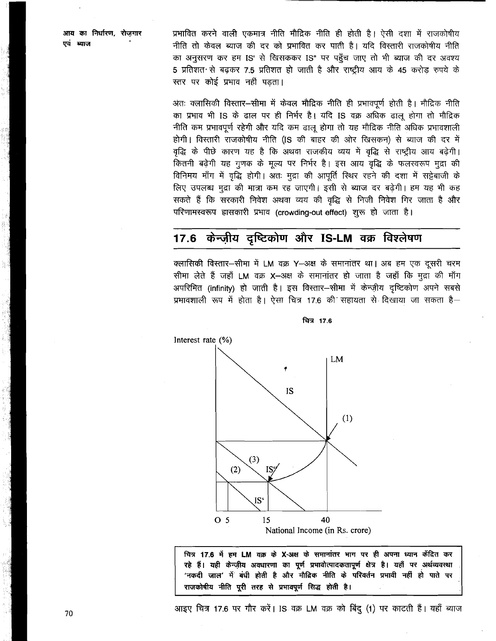आय का निर्धारण, रोजगार एवं ब्याज

प्रभावित करने वाली एकमात्र नीति मौद्रिक नीति ही होती है। ऐसी दशा में राजकोषीय नीति तो केवल ब्याज की दर को प्रभावित कर पाती है। यदि विस्तारी राजकोषीय नीति का अनुसरण कर हम IS' से खिसककर IS" पर पहुँच जाए तो भी ब्याज की दर अवश्य 5 प्रतिशत से बढ़कर 7.5 प्रतिशत हो जाती है और राष्ट्रीय आय के 45 करोड रुपये के स्तर पर कोई प्रभाव नहीं पड़ता।

अंतः क्लासिकी विस्तार—सीमा में केवल मौद्रिक नीति ही प्रभावपूर्ण होती है। मौद्रिक नीति का प्रभाव भी IS के ढाल पर ही निर्भर है। यदि IS वक्र अधिक ढालू होगा तो मौद्रिक नीति कम प्रभावपूर्ण रहेगी और यदि कम ढालू होगा तो यह मौद्रिक नीति अधिक प्रभावशाली होगी। विस्तारी राजकोषीय नीति (IS की बाहर की ओर खिसकन) से ब्याज की दर में वृद्धि के पीछे कारण यह है कि अथवा राजकीय व्यय में वृद्धि से राष्ट्रीय आय बढ़ेगी। कितनी बढ़ेगी यह गुणक के मूल्य पर निर्भर है। इस आय वृद्धि के फलस्वरूप मुद्रा की विनिमय माँग में वृद्धि होगी। अतः मुद्रा की आपूर्ति स्थिर रहने की दशा में सट्टेबाजी के लिए उपलब्ध मुद्रा की मात्रा कम रह जाएगी। इसी से ब्याज दर बढ़ेगी। हम यह भी कह सकते हैं कि सरकारी निवेश अथवा व्यय की वृद्धि से निजी निवेश गिर जाता है और परिणामस्वरूप हासकारी प्रभाव (crowding-out effect) शुरू हो जाता है।

### 17.6 केन्ज़ीय दुष्टिकोण और IS-LM वक्र विश्लेषण

क्लासिकी विस्तार-सीमा में LM वक्र Y-अक्ष के समानांतर था। अब हम एक दूसरी चरम सीमा लेते हैं जहाँ LM वक्र X-अक्ष के समानांतर हो जाता है जहाँ कि मुद्रा की माँग अपरिमित (infinity) हो जाती है। इस विस्तार-सीमा में केन्ज़ीय दृष्टिकोण अपने सबसे प्रभावशाली रूप में होता है। ऐसा चित्र 17.6 की सहायता से दिखाया जा सकता है-



चित्र 17.6

चित्र 17.6 में हम LM वक्र के X-अक्ष के समानांतर भाग पर ही अपना ध्यान केंद्रित कर रहे हैं। यही केन्ज़ीय अवधारणा का पूर्ण प्रभावोत्पादकतापूर्ण क्षेत्र है। यहाँ पर अर्थव्यवस्था 'नकदी जाल' में बंधी होती है और मौद्रिक नीति के परिवर्तन प्रभावी नहीं हो पाते पर राजकोषीय नीति पूरी तरह से प्रभावपूर्ण सिद्ध होती है।

आइए चित्र 17.6 पर गौर करें। IS वक्र LM वक्र को बिंदु (1) पर काटती हैं। यहाँ ब्याज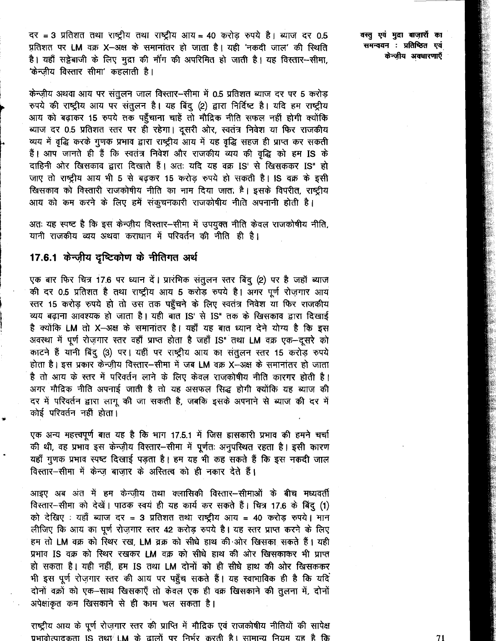दर = 3 प्रतिशत तथा राष्ट्रीय तथा राष्ट्रीय आय = 40 करोड़ रुपये है। ब्याज दर 0.5 प्रतिशत पर LM वक्र X-अक्ष के समानांतर हो जाता है। यही 'नकदी जाल' की स्थिति है। यहाँ सट्टेबाजी के लिए मुद्रा की माँग की अपरिमित हो जाती है। यह विस्तार-सीमा, 'केन्ज़ीय विस्तार सीमा' कहलाती है।

केन्ज़ीय अथवा आय पर संतुलन जाल विस्तार-सीमा में 0.5 प्रतिशत ब्याज दर पर 5 करोड़ रुपये की राष्ट्रीय आय पर संतुलन है। यह बिंदु (2) द्वारा निर्दिष्ट है। यदि हम राष्ट्रीय आय को बढ़ाकर 15 रुपये तक पहुँचाना चाहें तो मौद्रिक नीति सफल नहीं होगी क्योंकि ब्याज दर 0.5 प्रतिशत स्तर पर ही रहेगा। दूसरी ओर, स्वतंत्र निवेश या फिर राजकीय व्यय में वृद्धि करके गुणक प्रभाव द्वारा राष्ट्रीय आय में यह वृद्धि सहज ही प्राप्त कर सकती हैं। आप जानते ही हैं कि स्वतंत्र निवेश और राजकीय व्यय की वृद्धि को हम IS के दाहिनी ओर खिसकाव द्वारा दिखाते हैं। अतः यदि यह वक्र IS' से खिसककर IS" हो जाए तो राष्ट्रीय आय भी 5 से बढ़कर 15 करोड़ रुपये हो सकती है। IS वक्र के इसी खिसकाव को विस्तारी राजकोषीय नीति का नाम दिया जात. है। इसके विपरीत, राष्ट्रीय आय को कम करने के लिए हमें संकूचनकारी राजकोषीय नीति अपनानी होती है।

अतः यह स्पष्ट है कि इस केन्ज़ीय विस्तार-सीमा में उपयुक्त नीति केवल राजकोषीय नीति, यानी राजकीय व्यय अथवा कराधान में परिवर्तन की नीति ही है।

### 17.6.1 केन्ज़ीय दृष्टिकोण के नीतिगत अर्थ

एक बार फिर चित्र 17.6 पर ध्यान दें। प्रारंभिक संतुलन स्तर बिंदु (2) पर है जहाँ ब्याज की दर 0.5 प्रतिशत है तथा राष्ट्रीय आय 5 करोड़ रुपये है। अगर पूर्ण रोजगार आय स्तर 15 करोड़ रुपये हो तो उस तक पहुँचने के लिए स्वतंत्र निवेश या फिर राजकीय व्यय बढ़ाना आवश्यक हो जाता है। यही बात IS' से IS" तक के खिसकाव द्वारा दिखाई है क्योंकि LM तो X-अक्ष के समानांतर है। यहाँ यह बात ध्यान देने योग्य है कि इस अवस्था में पूर्ण रोज़गार स्तर वहाँ प्राप्त होता है जहाँ IS" तथा LM वक्र एक-दूसरे को काटने हैं यानी बिंदु (3) पर। यहीं पर राष्ट्रीय आय का संतुलन स्तर 15 करोड़ रुपये होता है। इस प्रकार केन्ज़ीय विस्तार-सीमा में जब LM वक्र X-अक्ष के समानांतर हो जाता है तो आय के स्तर में परिवर्तन लाने के लिए केवल राजकोषीय नीति कारगर होती है। अगर मौद्रिक नीति अपनाई जाती है तो यह असफल सिद्ध होगी क्योंकि यह ब्याज की दर में परिवर्तन द्वारा लागू की जा सकती है, जबकि इसके अपनाने से ब्याज की दर में कोई परिवर्तन नहीं होता।

एक अन्य महत्त्वपूर्ण बात यह है कि भाग 17.5.1 में जिस हासकारी प्रभाव की हमने चर्चा की थी, वह प्रभाव इस केन्ज़ीय विस्तार-सीमा में पूर्णतः अनुपस्थित रहता है। इसी कारण यहाँ गुणक प्रभाव स्पष्ट दिखाई पड़ता है। हम यह भी कह सकते हैं कि इस नकदी जाल विस्तार-सीमा में केन्ज बाजार के अस्तित्व को ही नकार देते हैं।

आइए अब अंत में हम केन्ज़ीय तथा क्लासिकी विस्तार—सीमाओं के बीच मध्यवर्ती विस्तार-सीमा को देखें। पाठक स्वयं ही यह कार्य कर सकते हैं। चित्र 17.6 के बिंदु (1) को देखिए : यहाँ ब्याज दर = 3 प्रतिशत तथा राष्ट्रीय आय = 40 करोड़ रुपये। मान लीजिए कि आय का पूर्ण रोज़गार स्तर 42 करोड़ रुपये है। यह स्तर प्राप्त करने के लिए हम तो LM वक्र को रिथर रख, LM व्रक्र को सीधे हाथ की ओर खिसका सकते हैं। यही प्रभाव IS वक्र को स्थिर रखकर LM वक्र को सीधे हाथ की ओर खिसकाकर भी प्राप्त हो सकता है। यही नहीं, हम IS तथा LM दोनों को ही सीधे हाथ की ओर खिसककर भी इस पूर्ण रोज़गार स्तर की आय पर पहुँच सकते हैं। यह स्वाभाविक ही है कि यदि दोनों वक्रों को एक-साथ खिसकाएँ तो केवल एक ही वक्र खिसकाने की तुलना में, दोनों अपेक्षांकृत कम खिसकाने से ही काम चल सकता है।

राष्ट्रीय आय के पूर्ण रोज़गार स्तर की प्राप्ति में मौद्रिक एवं राजकोषीय नीतियों की सापेक्ष प्रभावोत्पादकता IS तथा<sup>7</sup> IM के ढालों पर निर्भर करती है। सामान्य नियम यह है कि वस्तु एवं मुद्रा बाज़ारों का समन्वयन : प्रतिष्ठित एवं केन्ज़ीय अवधारणाएँ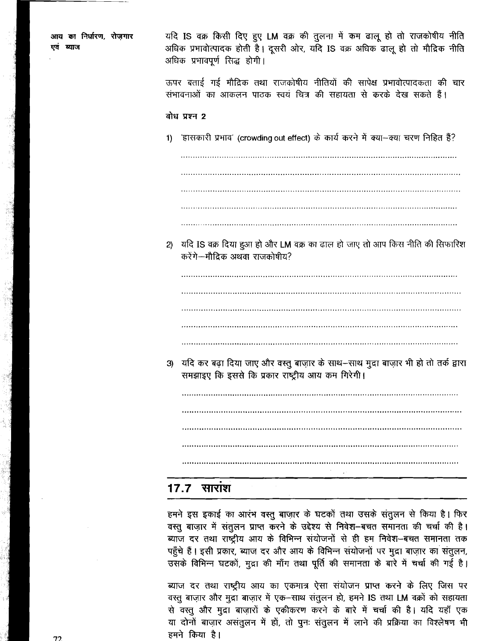| आय का निर्धारण, रोज़गार<br>एवं ब्याज | यदि IS वक्र किसी दिए हुए LM वक्र की तुलना में कम ढालू हो तो राजकोषीय नीति<br>अधिक प्रभावोत्पादक होती है। दूसरी ओर, यदि IS वक्र अधिक ढालू हो तो मौद्रिक नीति<br>अधिक प्रभावपूर्ण सिद्ध होगी। |
|--------------------------------------|---------------------------------------------------------------------------------------------------------------------------------------------------------------------------------------------|
|                                      | ऊपर बताई गई मौद्रिक तथा राजकोषीय नीतियों की सापेक्ष प्रभावोत्पादकता की चार<br>संभावनाओं का आकलन पाठक स्वयं चित्र की सहायता से करके देख सकते हैं।                                            |
|                                      | बोध प्रश्न 2                                                                                                                                                                                |
|                                      | 1) हासकारी प्रभाव' (crowding out effect) के कार्य करने में क्या--क्या चरण निहित हैं?                                                                                                        |
|                                      |                                                                                                                                                                                             |
|                                      |                                                                                                                                                                                             |
|                                      |                                                                                                                                                                                             |
|                                      | 2) यदि IS वक्र दिया हुआ हो और LM वक्र का ढाल हो जाए तो आप किस नीति की सिफारिश<br>करेंगे--मौद्रिक अथवा राजकोषीय?                                                                             |
|                                      |                                                                                                                                                                                             |
|                                      |                                                                                                                                                                                             |
|                                      |                                                                                                                                                                                             |
|                                      |                                                                                                                                                                                             |
|                                      | 3) यदि कर बढ़ा दिया जाए और वस्तु बाज़ार के साथ–साथ मुद्रा बाज़ार भी हो तो तर्क द्वारा<br>समझाइए कि इससे कि प्रकार राष्ट्रीय आय कम गिरेगी।                                                   |
|                                      |                                                                                                                                                                                             |
|                                      |                                                                                                                                                                                             |
|                                      |                                                                                                                                                                                             |
|                                      | $\bullet$<br><u> 17.7 साराश</u>                                                                                                                                                             |

हमने इस इकाई का आरंभ वस्तु बाज़ार के घटकों तथा उसके संतुलन से किया है। फिर वस्तु बाज़ार में संतुलन प्राप्त करने के उद्देश्य से निवेश-बचत समानता की चर्चा की है। ब्याज दर तथा राष्ट्रीय आय के विभिन्न संयोजनों से ही हम निवेश-बचत समानता तक पहुँचे हैं। इसी प्रकार, ब्याज दर और आय के विभिन्न संयोजनों पर मुद्रा बाज़ार का संतुलन, उसके विभिन्न घटकों, मुद्रा की माँग तथा पूर्ति की समानता के बारे में चर्चा की गई है।

ब्याज दर तथा राष्ट्रीय आय का एकमात्र ऐसा संयोजन प्राप्त करने के लिए जिस पर वस्तु बाज़ार और मुद्रा बाज़ार में एक-साथ संतुलन हो, हमने IS तथा LM वक्रों को सहायता से वस्तु और मुद्रा बाज़ारों के एकीकरण करने के बारे में चर्चा की है। यदि यहाँ एक या दोनों बाज़ार असंतुलन में हों, तो पुनः संतुलन में लाने की प्रक्रिया का विश्लेषण भी हमने किया है।